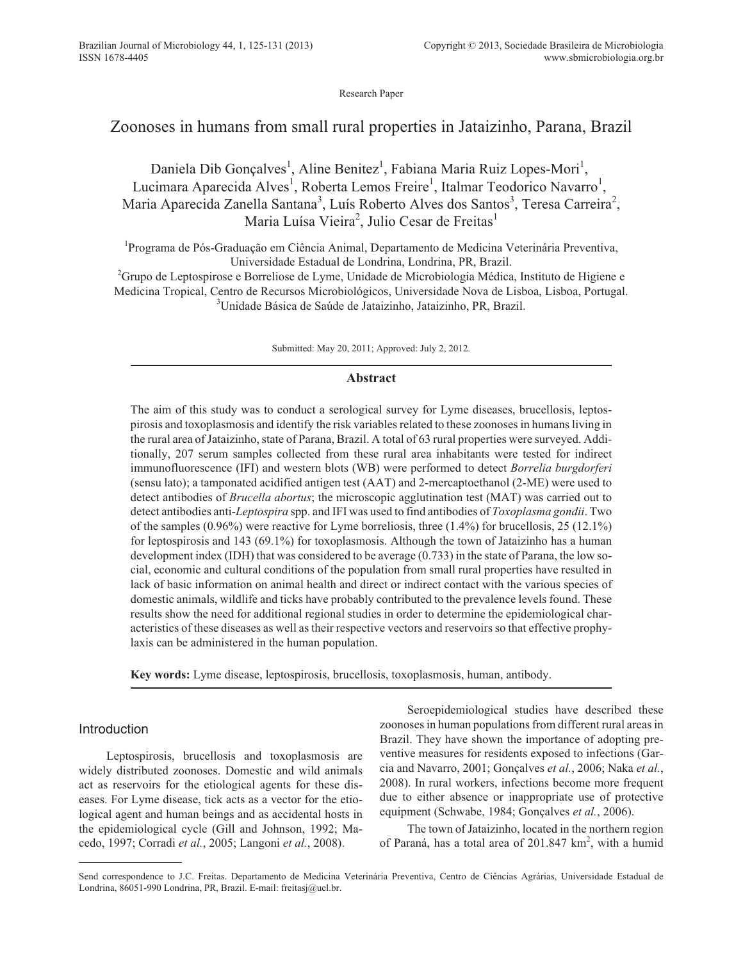Research Paper

# Zoonoses in humans from small rural properties in Jataizinho, Parana, Brazil

Daniela Dib Gonçalves<sup>1</sup>, Aline Benitez<sup>1</sup>, Fabiana Maria Ruiz Lopes-Mori<sup>1</sup>, Lucimara Aparecida Alves<sup>1</sup>, Roberta Lemos Freire<sup>1</sup>, Italmar Teodorico Navarro<sup>1</sup>, Maria Aparecida Zanella Santana<sup>3</sup>, Luís Roberto Alves dos Santos<sup>3</sup>, Teresa Carreira<sup>2</sup>, Maria Luísa Vieira<sup>2</sup>, Julio Cesar de Freitas<sup>1</sup>

<sup>1</sup>Programa de Pós-Graduação em Ciência Animal, Departamento de Medicina Veterinária Preventiva, Universidade Estadual de Londrina, Londrina, PR, Brazil.

<sup>2</sup>Grupo de Leptospirose e Borreliose de Lyme, Unidade de Microbiologia Médica, Instituto de Higiene e Medicina Tropical, Centro de Recursos Microbiológicos, Universidade Nova de Lisboa, Lisboa, Portugal. 3 Unidade Básica de Saúde de Jataizinho, Jataizinho, PR, Brazil.

Submitted: May 20, 2011; Approved: July 2, 2012.

## **Abstract**

The aim of this study was to conduct a serological survey for Lyme diseases, brucellosis, leptospirosis and toxoplasmosis and identify the risk variables related to these zoonoses in humans living in the rural area of Jataizinho, state of Parana, Brazil. A total of 63 rural properties were surveyed. Additionally, 207 serum samples collected from these rural area inhabitants were tested for indirect immunofluorescence (IFI) and western blots (WB) were performed to detect *Borrelia burgdorferi* (sensu lato); a tamponated acidified antigen test (AAT) and 2-mercaptoethanol (2-ME) were used to detect antibodies of *Brucella abortus*; the microscopic agglutination test (MAT) was carried out to detect antibodies anti-*Leptospira* spp. and IFI was used to find antibodies of *Toxoplasma gondii*. Two of the samples (0.96%) were reactive for Lyme borreliosis, three (1.4%) for brucellosis, 25 (12.1%) for leptospirosis and 143 (69.1%) for toxoplasmosis. Although the town of Jataizinho has a human development index (IDH) that was considered to be average (0.733) in the state of Parana, the low social, economic and cultural conditions of the population from small rural properties have resulted in lack of basic information on animal health and direct or indirect contact with the various species of domestic animals, wildlife and ticks have probably contributed to the prevalence levels found. These results show the need for additional regional studies in order to determine the epidemiological characteristics of these diseases as well as their respective vectors and reservoirs so that effective prophylaxis can be administered in the human population.

**Key words:** Lyme disease, leptospirosis, brucellosis, toxoplasmosis, human, antibody.

# Introduction

Leptospirosis, brucellosis and toxoplasmosis are widely distributed zoonoses. Domestic and wild animals act as reservoirs for the etiological agents for these diseases. For Lyme disease, tick acts as a vector for the etiological agent and human beings and as accidental hosts in the epidemiological cycle (Gill and Johnson, 1992; Macedo, 1997; Corradi *et al.*, 2005; Langoni *et al.*, 2008).

Seroepidemiological studies have described these zoonoses in human populations from different rural areas in Brazil. They have shown the importance of adopting preventive measures for residents exposed to infections (Garcia and Navarro, 2001; Gonçalves *et al.*, 2006; Naka *et al.*, 2008). In rural workers, infections become more frequent due to either absence or inappropriate use of protective equipment (Schwabe, 1984; Gonçalves *et al.*, 2006).

The town of Jataizinho, located in the northern region of Paraná, has a total area of 201.847 km<sup>2</sup>, with a humid

Send correspondence to J.C. Freitas. Departamento de Medicina Veterinária Preventiva, Centro de Ciências Agrárias, Universidade Estadual de Londrina, 86051-990 Londrina, PR, Brazil. E-mail: freitasj@uel.br.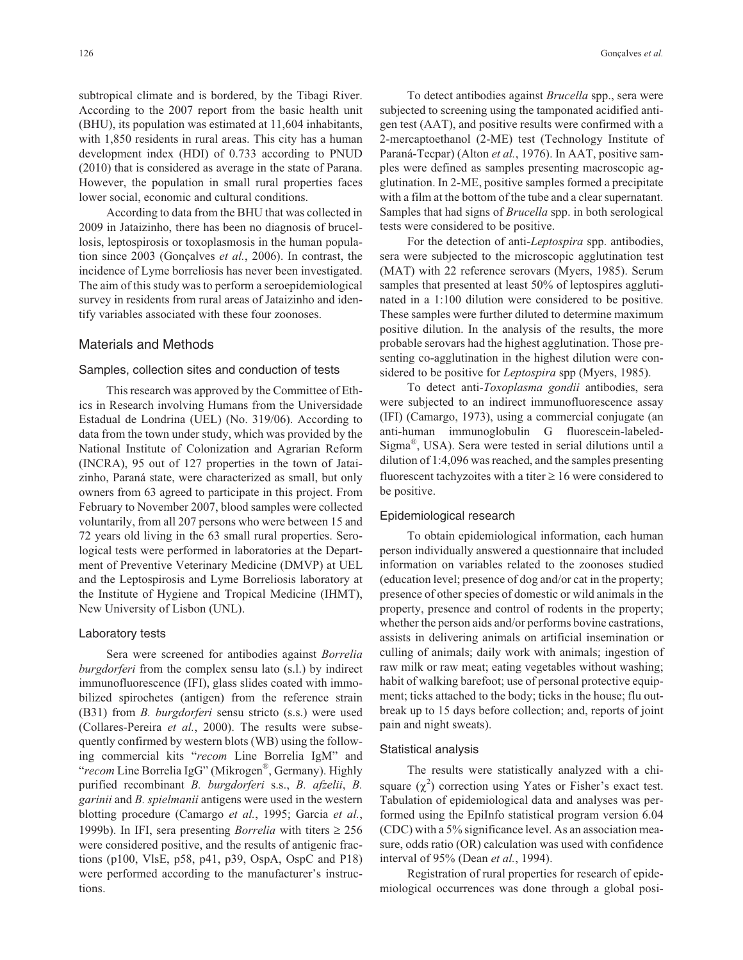subtropical climate and is bordered, by the Tibagi River. According to the 2007 report from the basic health unit (BHU), its population was estimated at 11,604 inhabitants, with 1,850 residents in rural areas. This city has a human development index (HDI) of 0.733 according to PNUD (2010) that is considered as average in the state of Parana. However, the population in small rural properties faces lower social, economic and cultural conditions.

According to data from the BHU that was collected in 2009 in Jataizinho, there has been no diagnosis of brucellosis, leptospirosis or toxoplasmosis in the human population since 2003 (Gonçalves *et al.*, 2006). In contrast, the incidence of Lyme borreliosis has never been investigated. The aim of this study was to perform a seroepidemiological survey in residents from rural areas of Jataizinho and identify variables associated with these four zoonoses.

#### Materials and Methods

#### Samples, collection sites and conduction of tests

This research was approved by the Committee of Ethics in Research involving Humans from the Universidade Estadual de Londrina (UEL) (No. 319/06). According to data from the town under study, which was provided by the National Institute of Colonization and Agrarian Reform (INCRA), 95 out of 127 properties in the town of Jataizinho, Paraná state, were characterized as small, but only owners from 63 agreed to participate in this project. From February to November 2007, blood samples were collected voluntarily, from all 207 persons who were between 15 and 72 years old living in the 63 small rural properties. Serological tests were performed in laboratories at the Department of Preventive Veterinary Medicine (DMVP) at UEL and the Leptospirosis and Lyme Borreliosis laboratory at the Institute of Hygiene and Tropical Medicine (IHMT), New University of Lisbon (UNL).

#### Laboratory tests

Sera were screened for antibodies against *Borrelia burgdorferi* from the complex sensu lato (s.l.) by indirect immunofluorescence (IFI), glass slides coated with immobilized spirochetes (antigen) from the reference strain (B31) from *B. burgdorferi* sensu stricto (s.s.) were used (Collares-Pereira *et al.*, 2000). The results were subsequently confirmed by western blots (WB) using the following commercial kits "*recom* Line Borrelia IgM" and "*recom* Line Borrelia IgG" (Mikrogen®, Germany). Highly purified recombinant *B. burgdorferi* s.s., *B. afzelii*, *B. garinii* and *B. spielmanii* antigens were used in the western blotting procedure (Camargo *et al.*, 1995; Garcia *et al.*, 1999b). In IFI, sera presenting *Borrelia* with titers  $\geq 256$ were considered positive, and the results of antigenic fractions (p100, VlsE, p58, p41, p39, OspA, OspC and P18) were performed according to the manufacturer's instructions.

To detect antibodies against *Brucella* spp., sera were subjected to screening using the tamponated acidified antigen test (AAT), and positive results were confirmed with a 2-mercaptoethanol (2-ME) test (Technology Institute of Paraná-Tecpar) (Alton *et al.*, 1976). In AAT, positive samples were defined as samples presenting macroscopic agglutination. In 2-ME, positive samples formed a precipitate with a film at the bottom of the tube and a clear supernatant. Samples that had signs of *Brucella* spp. in both serological tests were considered to be positive.

For the detection of anti-*Leptospira* spp. antibodies, sera were subjected to the microscopic agglutination test (MAT) with 22 reference serovars (Myers, 1985). Serum samples that presented at least 50% of leptospires agglutinated in a 1:100 dilution were considered to be positive. These samples were further diluted to determine maximum positive dilution. In the analysis of the results, the more probable serovars had the highest agglutination. Those presenting co-agglutination in the highest dilution were considered to be positive for *Leptospira* spp (Myers, 1985).

To detect anti-*Toxoplasma gondii* antibodies, sera were subjected to an indirect immunofluorescence assay (IFI) (Camargo, 1973), using a commercial conjugate (an anti-human immunoglobulin G fluorescein-labeled-Sigma®, USA). Sera were tested in serial dilutions until a dilution of 1:4,096 was reached, and the samples presenting fluorescent tachyzoites with a titer  $\geq 16$  were considered to be positive.

#### Epidemiological research

To obtain epidemiological information, each human person individually answered a questionnaire that included information on variables related to the zoonoses studied (education level; presence of dog and/or cat in the property; presence of other species of domestic or wild animals in the property, presence and control of rodents in the property; whether the person aids and/or performs bovine castrations, assists in delivering animals on artificial insemination or culling of animals; daily work with animals; ingestion of raw milk or raw meat; eating vegetables without washing; habit of walking barefoot; use of personal protective equipment; ticks attached to the body; ticks in the house; flu outbreak up to 15 days before collection; and, reports of joint pain and night sweats).

#### Statistical analysis

The results were statistically analyzed with a chisquare  $(\chi^2)$  correction using Yates or Fisher's exact test. Tabulation of epidemiological data and analyses was performed using the EpiInfo statistical program version 6.04 (CDC) with a 5% significance level. As an association measure, odds ratio (OR) calculation was used with confidence interval of 95% (Dean *et al.*, 1994).

Registration of rural properties for research of epidemiological occurrences was done through a global posi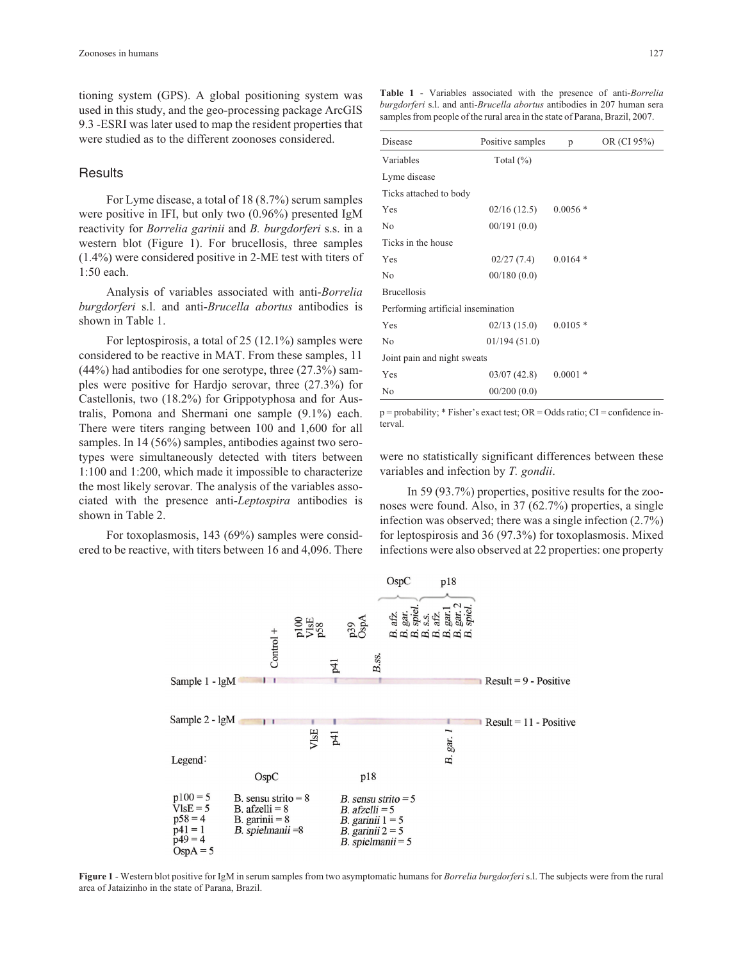tioning system (GPS). A global positioning system was used in this study, and the geo-processing package ArcGIS 9.3 -ESRI was later used to map the resident properties that were studied as to the different zoonoses considered.

# **Results**

For Lyme disease, a total of 18 (8.7%) serum samples were positive in IFI, but only two (0.96%) presented IgM reactivity for *Borrelia garinii* and *B. burgdorferi* s.s. in a western blot (Figure 1). For brucellosis, three samples (1.4%) were considered positive in 2-ME test with titers of 1:50 each.

Analysis of variables associated with anti-*Borrelia burgdorferi* s.l. and anti-*Brucella abortus* antibodies is shown in Table 1.

For leptospirosis, a total of 25 (12.1%) samples were considered to be reactive in MAT. From these samples, 11  $(44%)$  had antibodies for one serotype, three  $(27.3%)$  samples were positive for Hardjo serovar, three (27.3%) for Castellonis, two (18.2%) for Grippotyphosa and for Australis, Pomona and Shermani one sample (9.1%) each. There were titers ranging between 100 and 1,600 for all samples. In 14 (56%) samples, antibodies against two serotypes were simultaneously detected with titers between 1:100 and 1:200, which made it impossible to characterize the most likely serovar. The analysis of the variables associated with the presence anti-*Leptospira* antibodies is shown in Table 2.

For toxoplasmosis, 143 (69%) samples were considered to be reactive, with titers between 16 and 4,096. There

**Table 1** - Variables associated with the presence of anti-*Borrelia burgdorferi* s.l. and anti-*Brucella abortus* antibodies in 207 human sera samples from people of the rural area in the state of Parana, Brazil, 2007.

| Disease                            | Positive samples | p         | OR (CI 95%) |  |
|------------------------------------|------------------|-----------|-------------|--|
| Variables                          | Total $(\%)$     |           |             |  |
| Lyme disease                       |                  |           |             |  |
| Ticks attached to body             |                  |           |             |  |
| Yes                                | 02/16(12.5)      | $0.0056*$ |             |  |
| No                                 | 00/191(0.0)      |           |             |  |
| Ticks in the house                 |                  |           |             |  |
| Yes                                | 02/27(7.4)       | $0.0164*$ |             |  |
| N <sub>0</sub>                     | 00/180(0.0)      |           |             |  |
| <b>Brucellosis</b>                 |                  |           |             |  |
| Performing artificial insemination |                  |           |             |  |
| Yes                                | 02/13(15.0)      | $0.0105*$ |             |  |
| No                                 | 01/194(51.0)     |           |             |  |
| Joint pain and night sweats        |                  |           |             |  |
| Yes                                | 03/07(42.8)      | $0.0001*$ |             |  |
| No                                 | 00/200(0.0)      |           |             |  |

p = probability; \* Fisher's exact test; OR = Odds ratio; CI = confidence interval.

were no statistically significant differences between these variables and infection by *T. gondii*.

In 59 (93.7%) properties, positive results for the zoonoses were found. Also, in 37 (62.7%) properties, a single infection was observed; there was a single infection (2.7%) for leptospirosis and 36 (97.3%) for toxoplasmosis. Mixed infections were also observed at 22 properties: one property



**Figure 1** - Western blot positive for IgM in serum samples from two asymptomatic humans for *Borrelia burgdorferi* s.l. The subjects were from the rural area of Jataizinho in the state of Parana, Brazil.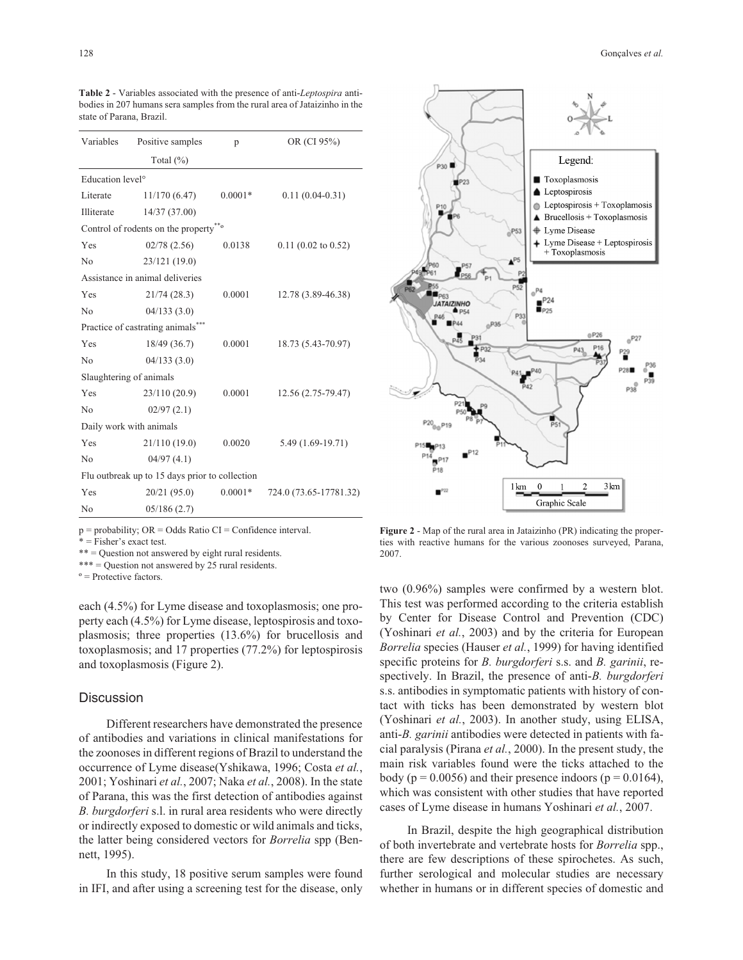| Variables                                       | Positive samples | p         | OR (CI 95%)            |  |  |
|-------------------------------------------------|------------------|-----------|------------------------|--|--|
|                                                 | Total (%)        |           |                        |  |  |
| Education level <sup>o</sup>                    |                  |           |                        |  |  |
| Literate                                        | 11/170(6.47)     | $0.0001*$ | $0.11(0.04-0.31)$      |  |  |
| Illiterate                                      | 14/37 (37.00)    |           |                        |  |  |
| Control of rodents on the property <sup>*</sup> |                  |           |                        |  |  |
| Yes                                             | 02/78(2.56)      | 0.0138    | $0.11$ (0.02 to 0.52)  |  |  |
| No                                              | 23/121 (19.0)    |           |                        |  |  |
| Assistance in animal deliveries                 |                  |           |                        |  |  |
| Yes                                             | 21/74(28.3)      | 0.0001    | 12.78 (3.89-46.38)     |  |  |
| No                                              | 04/133(3.0)      |           |                        |  |  |
| Practice of castrating animals                  |                  |           |                        |  |  |
| Yes                                             | 18/49 (36.7)     | 0.0001    | 18.73 (5.43-70.97)     |  |  |
| N <sub>0</sub>                                  | 04/133(3.0)      |           |                        |  |  |
| Slaughtering of animals                         |                  |           |                        |  |  |
| Yes                                             | 23/110(20.9)     | 0.0001    | 12.56 (2.75-79.47)     |  |  |
| No                                              | 02/97(2.1)       |           |                        |  |  |
| Daily work with animals                         |                  |           |                        |  |  |
| Yes                                             | 21/110(19.0)     | 0.0020    | 5.49 (1.69-19.71)      |  |  |
| No                                              | 04/97(4.1)       |           |                        |  |  |
| Flu outbreak up to 15 days prior to collection  |                  |           |                        |  |  |
| Yes                                             | 20/21 (95.0)     | $0.0001*$ | 724.0 (73.65-17781.32) |  |  |
| No                                              | 05/186(2.7)      |           |                        |  |  |

**Table 2** - Variables associated with the presence of anti-*Leptospira* antibodies in 207 humans sera samples from the rural area of Jataizinho in the state of Parana, Brazil.

 $p = probability$ ;  $OR = Odds$  Ratio  $CI = Confidence$  interval.

\* = Fisher's exact test.

\*\* = Question not answered by eight rural residents.

\*\*\* = Question not answered by 25 rural residents.

 $\degree$  = Protective factors.

each (4.5%) for Lyme disease and toxoplasmosis; one property each (4.5%) for Lyme disease, leptospirosis and toxoplasmosis; three properties (13.6%) for brucellosis and toxoplasmosis; and 17 properties (77.2%) for leptospirosis and toxoplasmosis (Figure 2).

#### **Discussion**

Different researchers have demonstrated the presence of antibodies and variations in clinical manifestations for the zoonoses in different regions of Brazil to understand the occurrence of Lyme disease(Yshikawa, 1996; Costa *et al.*, 2001; Yoshinari *et al.*, 2007; Naka *et al.*, 2008). In the state of Parana, this was the first detection of antibodies against *B. burgdorferi* s.l. in rural area residents who were directly or indirectly exposed to domestic or wild animals and ticks, the latter being considered vectors for *Borrelia* spp (Bennett, 1995).

In this study, 18 positive serum samples were found in IFI, and after using a screening test for the disease, only



**Figure 2** - Map of the rural area in Jataizinho (PR) indicating the properties with reactive humans for the various zoonoses surveyed, Parana, 2007.

two (0.96%) samples were confirmed by a western blot. This test was performed according to the criteria establish by Center for Disease Control and Prevention (CDC) (Yoshinari *et al.*, 2003) and by the criteria for European *Borrelia* species (Hauser *et al.*, 1999) for having identified specific proteins for *B. burgdorferi* s.s. and *B. garinii*, respectively. In Brazil, the presence of anti-*B. burgdorferi* s.s. antibodies in symptomatic patients with history of contact with ticks has been demonstrated by western blot (Yoshinari *et al.*, 2003). In another study, using ELISA, anti-*B. garinii* antibodies were detected in patients with facial paralysis (Pirana *et al.*, 2000). In the present study, the main risk variables found were the ticks attached to the body ( $p = 0.0056$ ) and their presence indoors ( $p = 0.0164$ ), which was consistent with other studies that have reported cases of Lyme disease in humans Yoshinari *et al.*, 2007.

In Brazil, despite the high geographical distribution of both invertebrate and vertebrate hosts for *Borrelia* spp., there are few descriptions of these spirochetes. As such, further serological and molecular studies are necessary whether in humans or in different species of domestic and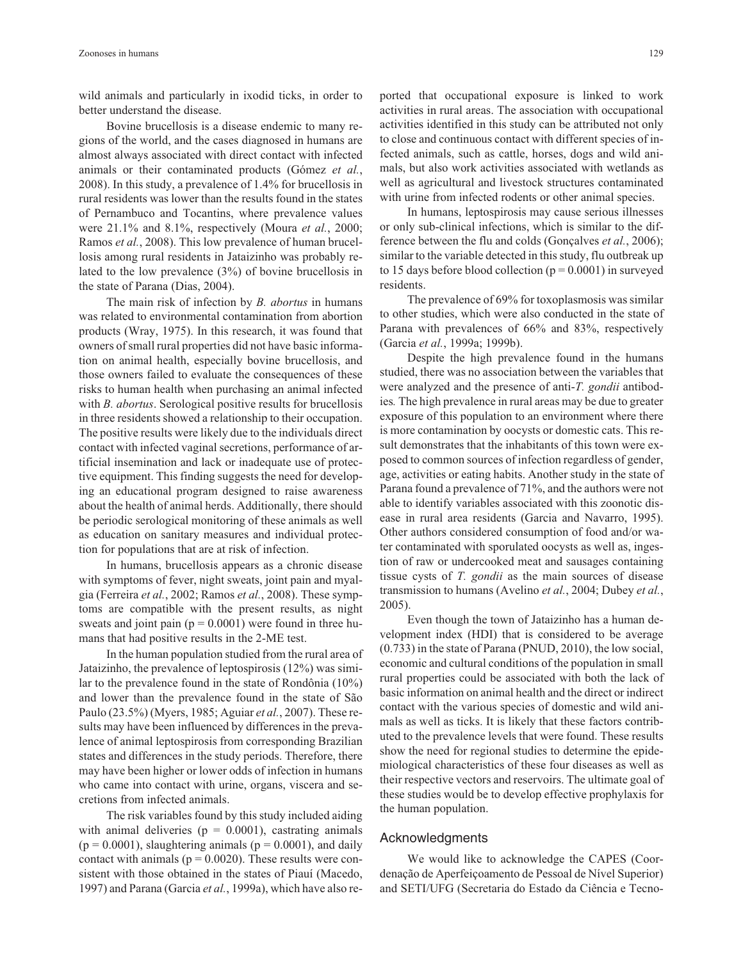wild animals and particularly in ixodid ticks, in order to better understand the disease.

Bovine brucellosis is a disease endemic to many regions of the world, and the cases diagnosed in humans are almost always associated with direct contact with infected animals or their contaminated products (Gómez *et al.*, 2008). In this study, a prevalence of 1.4% for brucellosis in rural residents was lower than the results found in the states of Pernambuco and Tocantins, where prevalence values were 21.1% and 8.1%, respectively (Moura *et al.*, 2000; Ramos *et al.*, 2008). This low prevalence of human brucellosis among rural residents in Jataizinho was probably related to the low prevalence (3%) of bovine brucellosis in the state of Parana (Dias, 2004).

The main risk of infection by *B. abortus* in humans was related to environmental contamination from abortion products (Wray, 1975). In this research, it was found that owners of small rural properties did not have basic information on animal health, especially bovine brucellosis, and those owners failed to evaluate the consequences of these risks to human health when purchasing an animal infected with *B. abortus*. Serological positive results for brucellosis in three residents showed a relationship to their occupation. The positive results were likely due to the individuals direct contact with infected vaginal secretions, performance of artificial insemination and lack or inadequate use of protective equipment. This finding suggests the need for developing an educational program designed to raise awareness about the health of animal herds. Additionally, there should be periodic serological monitoring of these animals as well as education on sanitary measures and individual protection for populations that are at risk of infection.

In humans, brucellosis appears as a chronic disease with symptoms of fever, night sweats, joint pain and myalgia (Ferreira *et al.*, 2002; Ramos *et al.*, 2008). These symptoms are compatible with the present results, as night sweats and joint pain ( $p = 0.0001$ ) were found in three humans that had positive results in the 2-ME test.

In the human population studied from the rural area of Jataizinho, the prevalence of leptospirosis (12%) was similar to the prevalence found in the state of Rondônia (10%) and lower than the prevalence found in the state of São Paulo (23.5%) (Myers, 1985; Aguiar *et al.*, 2007). These results may have been influenced by differences in the prevalence of animal leptospirosis from corresponding Brazilian states and differences in the study periods. Therefore, there may have been higher or lower odds of infection in humans who came into contact with urine, organs, viscera and secretions from infected animals.

The risk variables found by this study included aiding with animal deliveries ( $p = 0.0001$ ), castrating animals  $(p = 0.0001)$ , slaughtering animals  $(p = 0.0001)$ , and daily contact with animals ( $p = 0.0020$ ). These results were consistent with those obtained in the states of Piauí (Macedo, 1997) and Parana (Garcia *et al.*, 1999a), which have also reported that occupational exposure is linked to work activities in rural areas. The association with occupational activities identified in this study can be attributed not only to close and continuous contact with different species of infected animals, such as cattle, horses, dogs and wild animals, but also work activities associated with wetlands as well as agricultural and livestock structures contaminated with urine from infected rodents or other animal species.

In humans, leptospirosis may cause serious illnesses or only sub-clinical infections, which is similar to the difference between the flu and colds (Gonçalves *et al.*, 2006); similar to the variable detected in this study, flu outbreak up to 15 days before blood collection  $(p = 0.0001)$  in surveyed residents.

The prevalence of 69% for toxoplasmosis was similar to other studies, which were also conducted in the state of Parana with prevalences of 66% and 83%, respectively (Garcia *et al.*, 1999a; 1999b).

Despite the high prevalence found in the humans studied, there was no association between the variables that were analyzed and the presence of anti-*T. gondii* antibodies*.* The high prevalence in rural areas may be due to greater exposure of this population to an environment where there is more contamination by oocysts or domestic cats. This result demonstrates that the inhabitants of this town were exposed to common sources of infection regardless of gender, age, activities or eating habits. Another study in the state of Parana found a prevalence of 71%, and the authors were not able to identify variables associated with this zoonotic disease in rural area residents (Garcia and Navarro, 1995). Other authors considered consumption of food and/or water contaminated with sporulated oocysts as well as, ingestion of raw or undercooked meat and sausages containing tissue cysts of *T. gondii* as the main sources of disease transmission to humans (Avelino *et al.*, 2004; Dubey *et al.*, 2005).

Even though the town of Jataizinho has a human development index (HDI) that is considered to be average (0.733) in the state of Parana (PNUD, 2010), the low social, economic and cultural conditions of the population in small rural properties could be associated with both the lack of basic information on animal health and the direct or indirect contact with the various species of domestic and wild animals as well as ticks. It is likely that these factors contributed to the prevalence levels that were found. These results show the need for regional studies to determine the epidemiological characteristics of these four diseases as well as their respective vectors and reservoirs. The ultimate goal of these studies would be to develop effective prophylaxis for the human population.

#### Acknowledgments

We would like to acknowledge the CAPES (Coordenação de Aperfeiçoamento de Pessoal de Nível Superior) and SETI/UFG (Secretaria do Estado da Ciência e Tecno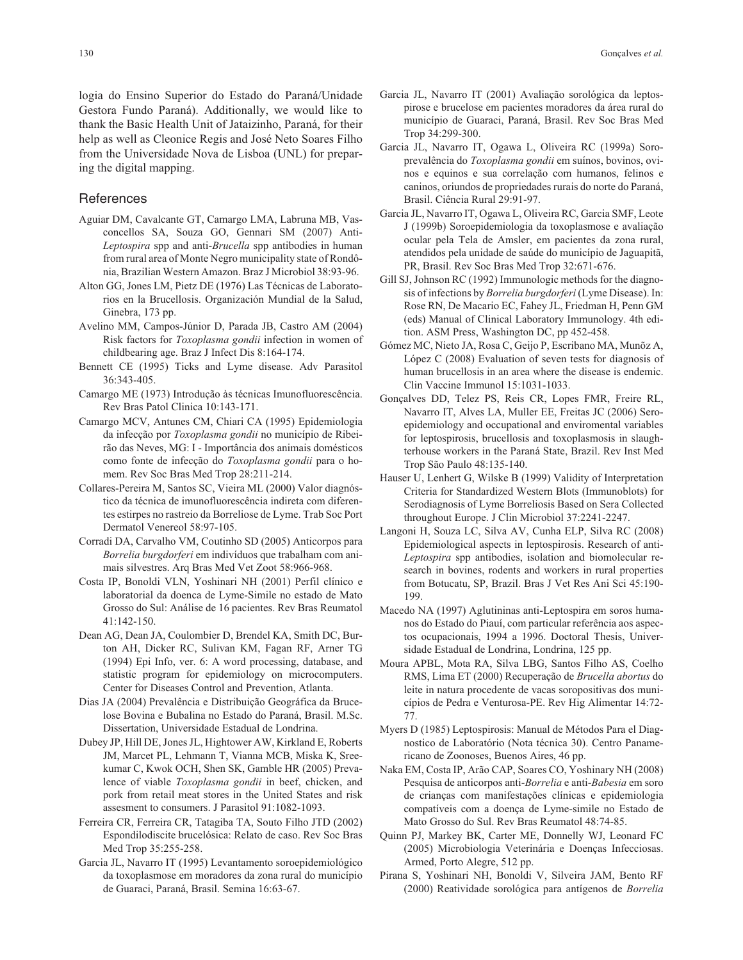logia do Ensino Superior do Estado do Paraná/Unidade Gestora Fundo Paraná). Additionally, we would like to thank the Basic Health Unit of Jataizinho, Paraná, for their help as well as Cleonice Regis and José Neto Soares Filho from the Universidade Nova de Lisboa (UNL) for preparing the digital mapping.

## **References**

- Aguiar DM, Cavalcante GT, Camargo LMA, Labruna MB, Vasconcellos SA, Souza GO, Gennari SM (2007) Anti-*Leptospira* spp and anti-*Brucella* spp antibodies in human from rural area of Monte Negro municipality state of Rondônia, Brazilian Western Amazon. Braz J Microbiol 38:93-96.
- Alton GG, Jones LM, Pietz DE (1976) Las Técnicas de Laboratorios en la Brucellosis. Organización Mundial de la Salud, Ginebra, 173 pp.
- Avelino MM, Campos-Júnior D, Parada JB, Castro AM (2004) Risk factors for *Toxoplasma gondii* infection in women of childbearing age. Braz J Infect Dis 8:164-174.
- Bennett CE (1995) Ticks and Lyme disease. Adv Parasitol 36:343-405.
- Camargo ME (1973) Introdução às técnicas Imunofluorescência. Rev Bras Patol Clinica 10:143-171.
- Camargo MCV, Antunes CM, Chiari CA (1995) Epidemiologia da infecção por *Toxoplasma gondii* no município de Ribeirão das Neves, MG: I - Importância dos animais domésticos como fonte de infecção do *Toxoplasma gondii* para o homem. Rev Soc Bras Med Trop 28:211-214.
- Collares-Pereira M, Santos SC, Vieira ML (2000) Valor diagnóstico da técnica de imunofluorescência indireta com diferentes estirpes no rastreio da Borreliose de Lyme. Trab Soc Port Dermatol Venereol 58:97-105.
- Corradi DA, Carvalho VM, Coutinho SD (2005) Anticorpos para *Borrelia burgdorferi* em indivíduos que trabalham com animais silvestres. Arq Bras Med Vet Zoot 58:966-968.
- Costa IP, Bonoldi VLN, Yoshinari NH (2001) Perfil clínico e laboratorial da doenca de Lyme-Simile no estado de Mato Grosso do Sul: Análise de 16 pacientes. Rev Bras Reumatol 41:142-150.
- Dean AG, Dean JA, Coulombier D, Brendel KA, Smith DC, Burton AH, Dicker RC, Sulivan KM, Fagan RF, Arner TG (1994) Epi Info, ver. 6: A word processing, database, and statistic program for epidemiology on microcomputers. Center for Diseases Control and Prevention, Atlanta.
- Dias JA (2004) Prevalência e Distribuição Geográfica da Brucelose Bovina e Bubalina no Estado do Paraná, Brasil. M.Sc. Dissertation, Universidade Estadual de Londrina.
- Dubey JP, Hill DE, Jones JL, Hightower AW, Kirkland E, Roberts JM, Marcet PL, Lehmann T, Vianna MCB, Miska K, Sreekumar C, Kwok OCH, Shen SK, Gamble HR (2005) Prevalence of viable *Toxoplasma gondii* in beef, chicken, and pork from retail meat stores in the United States and risk assesment to consumers. J Parasitol 91:1082-1093.
- Ferreira CR, Ferreira CR, Tatagiba TA, Souto Filho JTD (2002) Espondilodiscite brucelósica: Relato de caso. Rev Soc Bras Med Trop 35:255-258.
- Garcia JL, Navarro IT (1995) Levantamento soroepidemiológico da toxoplasmose em moradores da zona rural do município de Guaraci, Paraná, Brasil. Semina 16:63-67.
- Garcia JL, Navarro IT (2001) Avaliação sorológica da leptospirose e brucelose em pacientes moradores da área rural do município de Guaraci, Paraná, Brasil. Rev Soc Bras Med Trop 34:299-300.
- Garcia JL, Navarro IT, Ogawa L, Oliveira RC (1999a) Soroprevalência do *Toxoplasma gondii* em suínos, bovinos, ovinos e equinos e sua correlação com humanos, felinos e caninos, oriundos de propriedades rurais do norte do Paraná, Brasil. Ciência Rural 29:91-97.
- Garcia JL, Navarro IT, Ogawa L, Oliveira RC, Garcia SMF, Leote J (1999b) Soroepidemiologia da toxoplasmose e avaliação ocular pela Tela de Amsler, em pacientes da zona rural, atendidos pela unidade de saúde do município de Jaguapitã, PR, Brasil. Rev Soc Bras Med Trop 32:671-676.
- Gill SJ, Johnson RC (1992) Immunologic methods for the diagnosis of infections by *Borrelia burgdorferi* (Lyme Disease). In: Rose RN, De Macario EC, Fahey JL, Friedman H, Penn GM (eds) Manual of Clinical Laboratory Immunology. 4th edition. ASM Press, Washington DC, pp 452-458.
- Gómez MC, Nieto JA, Rosa C, Geijo P, Escribano MA, Munõz A, López C (2008) Evaluation of seven tests for diagnosis of human brucellosis in an area where the disease is endemic. Clin Vaccine Immunol 15:1031-1033.
- Gonçalves DD, Telez PS, Reis CR, Lopes FMR, Freire RL, Navarro IT, Alves LA, Muller EE, Freitas JC (2006) Seroepidemiology and occupational and enviromental variables for leptospirosis, brucellosis and toxoplasmosis in slaughterhouse workers in the Paraná State, Brazil. Rev Inst Med Trop São Paulo 48:135-140.
- Hauser U, Lenhert G, Wilske B (1999) Validity of Interpretation Criteria for Standardized Western Blots (Immunoblots) for Serodiagnosis of Lyme Borreliosis Based on Sera Collected throughout Europe. J Clin Microbiol 37:2241-2247.
- Langoni H, Souza LC, Silva AV, Cunha ELP, Silva RC (2008) Epidemiological aspects in leptospirosis. Research of anti-*Leptospira* spp antibodies, isolation and biomolecular research in bovines, rodents and workers in rural properties from Botucatu, SP, Brazil. Bras J Vet Res Ani Sci 45:190- 199.
- Macedo NA (1997) Aglutininas anti-Leptospira em soros humanos do Estado do Piauí, com particular referência aos aspectos ocupacionais, 1994 a 1996. Doctoral Thesis, Universidade Estadual de Londrina, Londrina, 125 pp.
- Moura APBL, Mota RA, Silva LBG, Santos Filho AS, Coelho RMS, Lima ET (2000) Recuperação de *Brucella abortus* do leite in natura procedente de vacas soropositivas dos municípios de Pedra e Venturosa-PE. Rev Hig Alimentar 14:72- 77.
- Myers D (1985) Leptospirosis: Manual de Métodos Para el Diagnostico de Laboratório (Nota técnica 30). Centro Panamericano de Zoonoses, Buenos Aires, 46 pp.
- Naka EM, Costa IP, Arão CAP, Soares CO, Yoshinary NH (2008) Pesquisa de anticorpos anti-*Borrelia* e anti-*Babesia* em soro de crianças com manifestações clínicas e epidemiologia compatíveis com a doença de Lyme-simile no Estado de Mato Grosso do Sul. Rev Bras Reumatol 48:74-85.
- Quinn PJ, Markey BK, Carter ME, Donnelly WJ, Leonard FC (2005) Microbiologia Veterinária e Doenças Infecciosas. Armed, Porto Alegre, 512 pp.
- Pirana S, Yoshinari NH, Bonoldi V, Silveira JAM, Bento RF (2000) Reatividade sorológica para antígenos de *Borrelia*